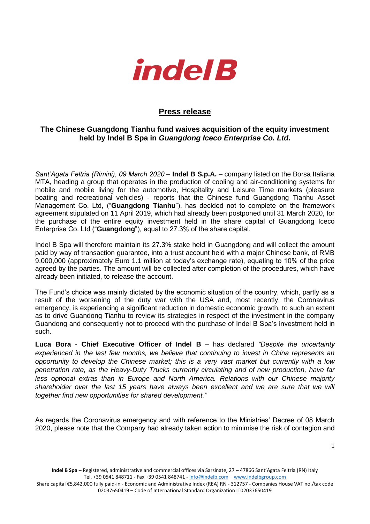

## **Press release**

## **The Chinese Guangdong Tianhu fund waives acquisition of the equity investment held by Indel B Spa in** *Guangdong Iceco Enterprise Co. Ltd.*

*Sant'Agata Feltria (Rimini), 09 March 2020* – **Indel B S.p.A.** – company listed on the Borsa Italiana MTA, heading a group that operates in the production of cooling and air-conditioning systems for mobile and mobile living for the automotive, Hospitality and Leisure Time markets (pleasure boating and recreational vehicles) - reports that the Chinese fund Guangdong Tianhu Asset Management Co. Ltd, ("**Guangdong Tianhu**"), has decided not to complete on the framework agreement stipulated on 11 April 2019, which had already been postponed until 31 March 2020, for the purchase of the entire equity investment held in the share capital of Guangdong Iceco Enterprise Co. Ltd ("**Guangdong**"), equal to 27.3% of the share capital.

Indel B Spa will therefore maintain its 27.3% stake held in Guangdong and will collect the amount paid by way of transaction guarantee, into a trust account held with a major Chinese bank, of RMB 9,000,000 (approximately Euro 1.1 million at today's exchange rate), equating to 10% of the price agreed by the parties. The amount will be collected after completion of the procedures, which have already been initiated, to release the account.

The Fund's choice was mainly dictated by the economic situation of the country, which, partly as a result of the worsening of the duty war with the USA and, most recently, the Coronavirus emergency, is experiencing a significant reduction in domestic economic growth, to such an extent as to drive Guandong Tianhu to review its strategies in respect of the investment in the company Guandong and consequently not to proceed with the purchase of Indel B Spa's investment held in such.

**Luca Bora** - **Chief Executive Officer of Indel B** – has declared *"Despite the uncertainty experienced in the last few months, we believe that continuing to invest in China represents an opportunity to develop the Chinese market; this is a very vast market but currently with a low penetration rate, as the Heavy-Duty Trucks currently circulating and of new production, have far less optional extras than in Europe and North America. Relations with our Chinese majority shareholder over the last 15 years have always been excellent and we are sure that we will together find new opportunities for shared development."*

As regards the Coronavirus emergency and with reference to the Ministries' Decree of 08 March 2020, please note that the Company had already taken action to minimise the risk of contagion and

**Indel B Spa** – Registered, administrative and commercial offices via Sarsinate, 27 – 47866 Sant'Agata Feltria (RN) Italy Tel. +39 0541 848711 - Fax +39 0541 848741 - <info@indelb.com> – [www.indelbgroup.com](http://www.indelbgroup.com/)

Share capital €5,842,000 fully paid-in - Economic and Administrative Index (REA) RN - 312757 - Companies House VAT no./tax code 02037650419 – Code of International Standard Organization IT02037650419